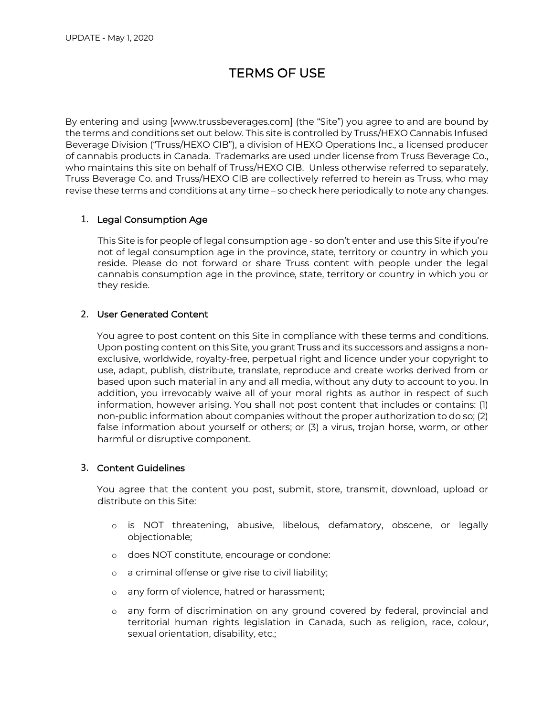# TERMS OF USE

By entering and using [www.trussbeverages.com] (the "Site") you agree to and are bound by the terms and conditions set out below. This site is controlled by Truss/HEXO Cannabis Infused Beverage Division ("Truss/HEXO CIB"), a division of HEXO Operations Inc., a licensed producer of cannabis products in Canada. Trademarks are used under license from Truss Beverage Co., who maintains this site on behalf of Truss/HEXO CIB. Unless otherwise referred to separately, Truss Beverage Co. and Truss/HEXO CIB are collectively referred to herein as Truss, who may revise these terms and conditions at any time – so check here periodically to note any changes.

## 1. Legal Consumption Age

This Site is for people of legal consumption age - so don't enter and use this Site if you're not of legal consumption age in the province, state, territory or country in which you reside. Please do not forward or share Truss content with people under the legal cannabis consumption age in the province, state, territory or country in which you or they reside.

## 2. User Generated Content

You agree to post content on this Site in compliance with these terms and conditions. Upon posting content on this Site, you grant Truss and its successors and assigns a nonexclusive, worldwide, royalty-free, perpetual right and licence under your copyright to use, adapt, publish, distribute, translate, reproduce and create works derived from or based upon such material in any and all media, without any duty to account to you. In addition, you irrevocably waive all of your moral rights as author in respect of such information, however arising. You shall not post content that includes or contains: (1) non-public information about companies without the proper authorization to do so; (2) false information about yourself or others; or (3) a virus, trojan horse, worm, or other harmful or disruptive component.

## 3. Content Guidelines

You agree that the content you post, submit, store, transmit, download, upload or distribute on this Site:

- o is NOT threatening, abusive, libelous, defamatory, obscene, or legally objectionable;
- o does NOT constitute, encourage or condone:
- o a criminal offense or give rise to civil liability;
- o any form of violence, hatred or harassment;
- o any form of discrimination on any ground covered by federal, provincial and territorial human rights legislation in Canada, such as religion, race, colour, sexual orientation, disability, etc.;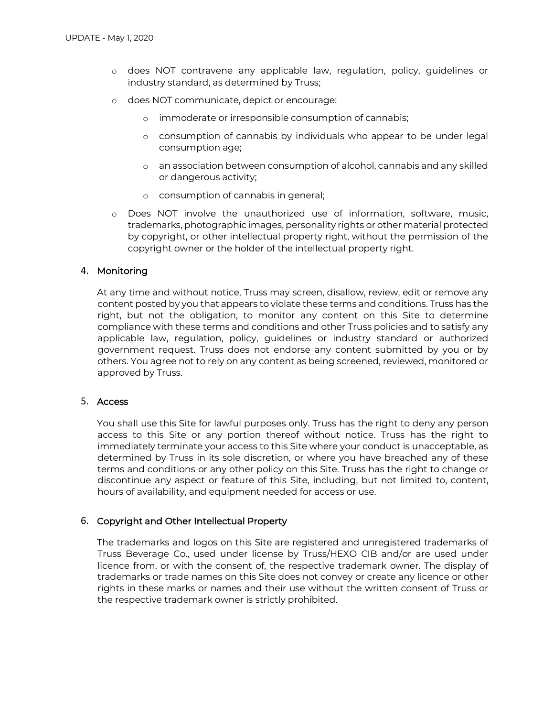- o does NOT contravene any applicable law, regulation, policy, guidelines or industry standard, as determined by Truss;
- o does NOT communicate, depict or encourage:
	- o immoderate or irresponsible consumption of cannabis;
	- o consumption of cannabis by individuals who appear to be under legal consumption age;
	- o an association between consumption of alcohol, cannabis and any skilled or dangerous activity;
	- o consumption of cannabis in general;
- o Does NOT involve the unauthorized use of information, software, music, trademarks, photographic images, personality rights or other material protected by copyright, or other intellectual property right, without the permission of the copyright owner or the holder of the intellectual property right.

#### 4. Monitoring

At any time and without notice, Truss may screen, disallow, review, edit or remove any content posted by you that appears to violate these terms and conditions. Truss has the right, but not the obligation, to monitor any content on this Site to determine compliance with these terms and conditions and other Truss policies and to satisfy any applicable law, regulation, policy, guidelines or industry standard or authorized government request. Truss does not endorse any content submitted by you or by others. You agree not to rely on any content as being screened, reviewed, monitored or approved by Truss.

#### 5. Access

You shall use this Site for lawful purposes only. Truss has the right to deny any person access to this Site or any portion thereof without notice. Truss has the right to immediately terminate your access to this Site where your conduct is unacceptable, as determined by Truss in its sole discretion, or where you have breached any of these terms and conditions or any other policy on this Site. Truss has the right to change or discontinue any aspect or feature of this Site, including, but not limited to, content, hours of availability, and equipment needed for access or use.

#### 6. Copyright and Other Intellectual Property

The trademarks and logos on this Site are registered and unregistered trademarks of Truss Beverage Co., used under license by Truss/HEXO CIB and/or are used under licence from, or with the consent of, the respective trademark owner. The display of trademarks or trade names on this Site does not convey or create any licence or other rights in these marks or names and their use without the written consent of Truss or the respective trademark owner is strictly prohibited.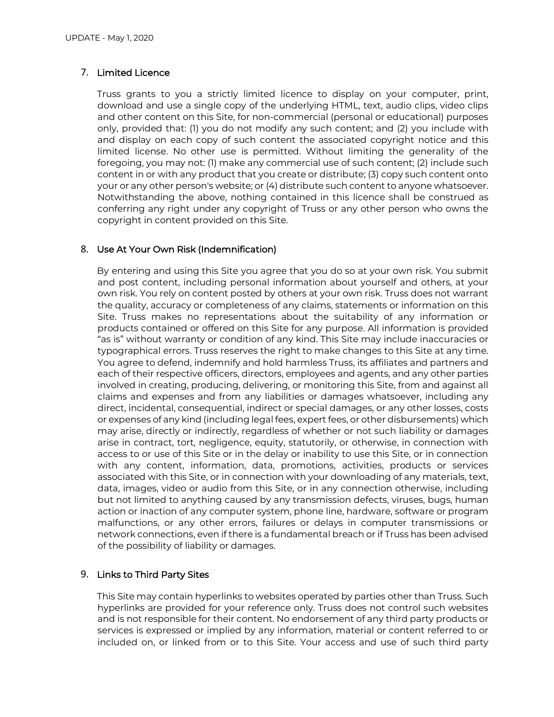### 7. Limited Licence

Truss grants to you a strictly limited licence to display on your computer, print, download and use a single copy of the underlying HTML, text, audio clips, video clips and other content on this Site, for non-commercial (personal or educational) purposes only, provided that: (1) you do not modify any such content; and (2) you include with and display on each copy of such content the associated copyright notice and this limited license. No other use is permitted. Without limiting the generality of the foregoing, you may not: (1) make any commercial use of such content; (2) include such content in or with any product that you create or distribute; (3) copy such content onto your or any other person's website; or (4) distribute such content to anyone whatsoever. Notwithstanding the above, nothing contained in this licence shall be construed as conferring any right under any copyright of Truss or any other person who owns the copyright in content provided on this Site.

#### 8. Use At Your Own Risk (Indemnification)

By entering and using this Site you agree that you do so at your own risk. You submit and post content, including personal information about yourself and others, at your own risk. You rely on content posted by others at your own risk. Truss does not warrant the quality, accuracy or completeness of any claims, statements or information on this Site. Truss makes no representations about the suitability of any information or products contained or offered on this Site for any purpose. All information is provided "as is" without warranty or condition of any kind. This Site may include inaccuracies or typographical errors. Truss reserves the right to make changes to this Site at any time. You agree to defend, indemnify and hold harmless Truss, its affiliates and partners and each of their respective officers, directors, employees and agents, and any other parties involved in creating, producing, delivering, or monitoring this Site, from and against all claims and expenses and from any liabilities or damages whatsoever, including any direct, incidental, consequential, indirect or special damages, or any other losses, costs or expenses of any kind (including legal fees, expert fees, or other disbursements) which may arise, directly or indirectly, regardless of whether or not such liability or damages arise in contract, tort, negligence, equity, statutorily, or otherwise, in connection with access to or use of this Site or in the delay or inability to use this Site, or in connection with any content, information, data, promotions, activities, products or services associated with this Site, or in connection with your downloading of any materials, text, data, images, video or audio from this Site, or in any connection otherwise, including but not limited to anything caused by any transmission defects, viruses, bugs, human action or inaction of any computer system, phone line, hardware, software or program malfunctions, or any other errors, failures or delays in computer transmissions or network connections, even if there is a fundamental breach or if Truss has been advised of the possibility of liability or damages.

#### 9. Links to Third Party Sites

This Site may contain hyperlinks to websites operated by parties other than Truss. Such hyperlinks are provided for your reference only. Truss does not control such websites and is not responsible for their content. No endorsement of any third party products or services is expressed or implied by any information, material or content referred to or included on, or linked from or to this Site. Your access and use of such third party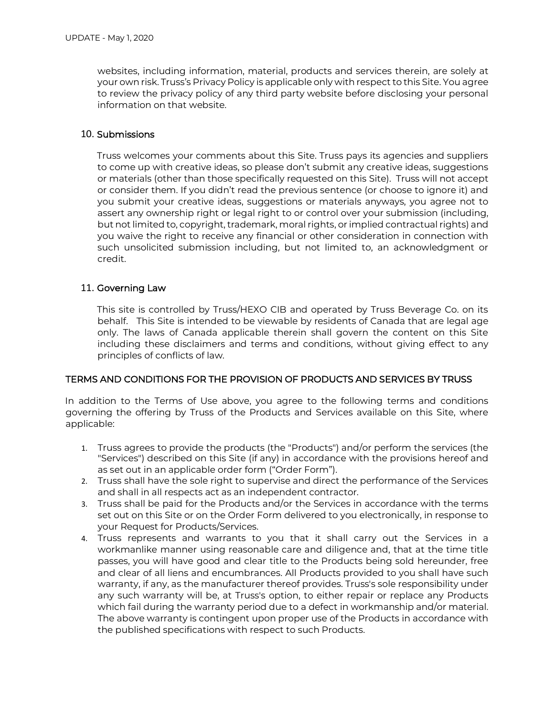websites, including information, material, products and services therein, are solely at your own risk. Truss's Privacy Policy is applicable only with respect to this Site. You agree to review the privacy policy of any third party website before disclosing your personal information on that website.

### 10. Submissions

Truss welcomes your comments about this Site. Truss pays its agencies and suppliers to come up with creative ideas, so please don't submit any creative ideas, suggestions or materials (other than those specifically requested on this Site). Truss will not accept or consider them. If you didn't read the previous sentence (or choose to ignore it) and you submit your creative ideas, suggestions or materials anyways, you agree not to assert any ownership right or legal right to or control over your submission (including, but not limited to, copyright, trademark, moral rights, or implied contractual rights) and you waive the right to receive any financial or other consideration in connection with such unsolicited submission including, but not limited to, an acknowledgment or credit.

#### 11. Governing Law

This site is controlled by Truss/HEXO CIB and operated by Truss Beverage Co. on its behalf. This Site is intended to be viewable by residents of Canada that are legal age only. The laws of Canada applicable therein shall govern the content on this Site including these disclaimers and terms and conditions, without giving effect to any principles of conflicts of law.

## TERMS AND CONDITIONS FOR THE PROVISION OF PRODUCTS AND SERVICES BY TRUSS

In addition to the Terms of Use above, you agree to the following terms and conditions governing the offering by Truss of the Products and Services available on this Site, where applicable:

- 1. Truss agrees to provide the products (the "Products") and/or perform the services (the "Services") described on this Site (if any) in accordance with the provisions hereof and as set out in an applicable order form ("Order Form").
- 2. Truss shall have the sole right to supervise and direct the performance of the Services and shall in all respects act as an independent contractor.
- 3. Truss shall be paid for the Products and/or the Services in accordance with the terms set out on this Site or on the Order Form delivered to you electronically, in response to your Request for Products/Services.
- 4. Truss represents and warrants to you that it shall carry out the Services in a workmanlike manner using reasonable care and diligence and, that at the time title passes, you will have good and clear title to the Products being sold hereunder, free and clear of all liens and encumbrances. All Products provided to you shall have such warranty, if any, as the manufacturer thereof provides. Truss's sole responsibility under any such warranty will be, at Truss's option, to either repair or replace any Products which fail during the warranty period due to a defect in workmanship and/or material. The above warranty is contingent upon proper use of the Products in accordance with the published specifications with respect to such Products.